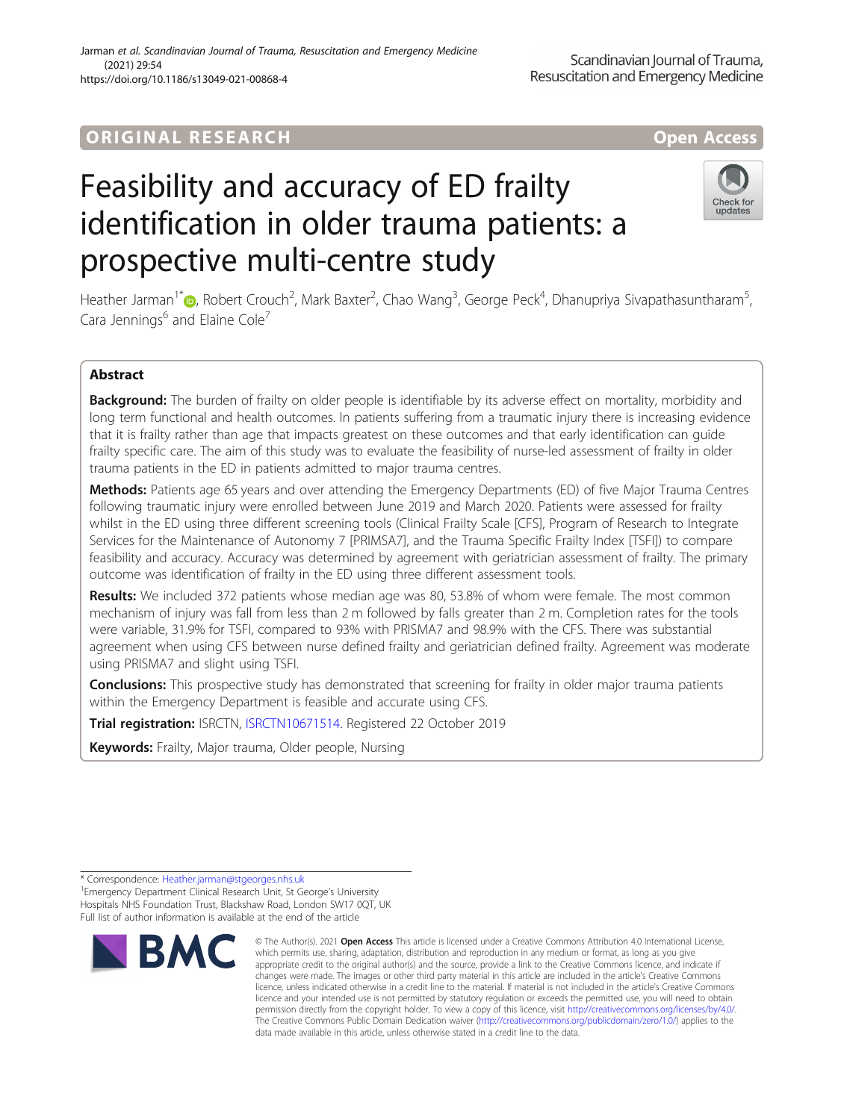# ORIGINA L R E S EA RCH Open Access

# Feasibility and accuracy of ED frailty identification in older trauma patients: a prospective multi-centre study



Heather Jarman<sup>1\*</sup>®, Robert Crouch<sup>2</sup>, Mark Baxter<sup>2</sup>, Chao Wang<sup>3</sup>, George Peck<sup>4</sup>, Dhanupriya Sivapathasuntharam<sup>5</sup> , Cara Jennings<sup>6</sup> and Elaine Cole<sup>7</sup>

# Abstract

Background: The burden of frailty on older people is identifiable by its adverse effect on mortality, morbidity and long term functional and health outcomes. In patients suffering from a traumatic injury there is increasing evidence that it is frailty rather than age that impacts greatest on these outcomes and that early identification can guide frailty specific care. The aim of this study was to evaluate the feasibility of nurse-led assessment of frailty in older trauma patients in the ED in patients admitted to major trauma centres.

Methods: Patients age 65 years and over attending the Emergency Departments (ED) of five Major Trauma Centres following traumatic injury were enrolled between June 2019 and March 2020. Patients were assessed for frailty whilst in the ED using three different screening tools (Clinical Frailty Scale [CFS], Program of Research to Integrate Services for the Maintenance of Autonomy 7 [PRIMSA7], and the Trauma Specific Frailty Index [TSFI]) to compare feasibility and accuracy. Accuracy was determined by agreement with geriatrician assessment of frailty. The primary outcome was identification of frailty in the ED using three different assessment tools.

Results: We included 372 patients whose median age was 80, 53.8% of whom were female. The most common mechanism of injury was fall from less than 2 m followed by falls greater than 2 m. Completion rates for the tools were variable, 31.9% for TSFI, compared to 93% with PRISMA7 and 98.9% with the CFS. There was substantial agreement when using CFS between nurse defined frailty and geriatrician defined frailty. Agreement was moderate using PRISMA7 and slight using TSFI.

**Conclusions:** This prospective study has demonstrated that screening for frailty in older major trauma patients within the Emergency Department is feasible and accurate using CFS.

Trial registration: ISRCTN, [ISRCTN10671514](http://www.isrctn.com/ISRCTN10671514?q=jarman&filters=&sort=&offset=1&totalResults=6&page=1&pageSize=10&searchType=basic-search). Registered 22 October 2019

Keywords: Frailty, Major trauma, Older people, Nursing

<sup>&</sup>lt;sup>1</sup> Emergency Department Clinical Research Unit, St George's University Hospitals NHS Foundation Trust, Blackshaw Road, London SW17 0QT, UK Full list of author information is available at the end of the article



<sup>©</sup> The Author(s), 2021 **Open Access** This article is licensed under a Creative Commons Attribution 4.0 International License, which permits use, sharing, adaptation, distribution and reproduction in any medium or format, as long as you give appropriate credit to the original author(s) and the source, provide a link to the Creative Commons licence, and indicate if changes were made. The images or other third party material in this article are included in the article's Creative Commons licence, unless indicated otherwise in a credit line to the material. If material is not included in the article's Creative Commons licence and your intended use is not permitted by statutory regulation or exceeds the permitted use, you will need to obtain permission directly from the copyright holder. To view a copy of this licence, visit [http://creativecommons.org/licenses/by/4.0/.](http://creativecommons.org/licenses/by/4.0/) The Creative Commons Public Domain Dedication waiver [\(http://creativecommons.org/publicdomain/zero/1.0/](http://creativecommons.org/publicdomain/zero/1.0/)) applies to the data made available in this article, unless otherwise stated in a credit line to the data.

<sup>\*</sup> Correspondence: [Heather.jarman@stgeorges.nhs.uk](mailto:Heather.jarman@stgeorges.nhs.uk) <sup>1</sup>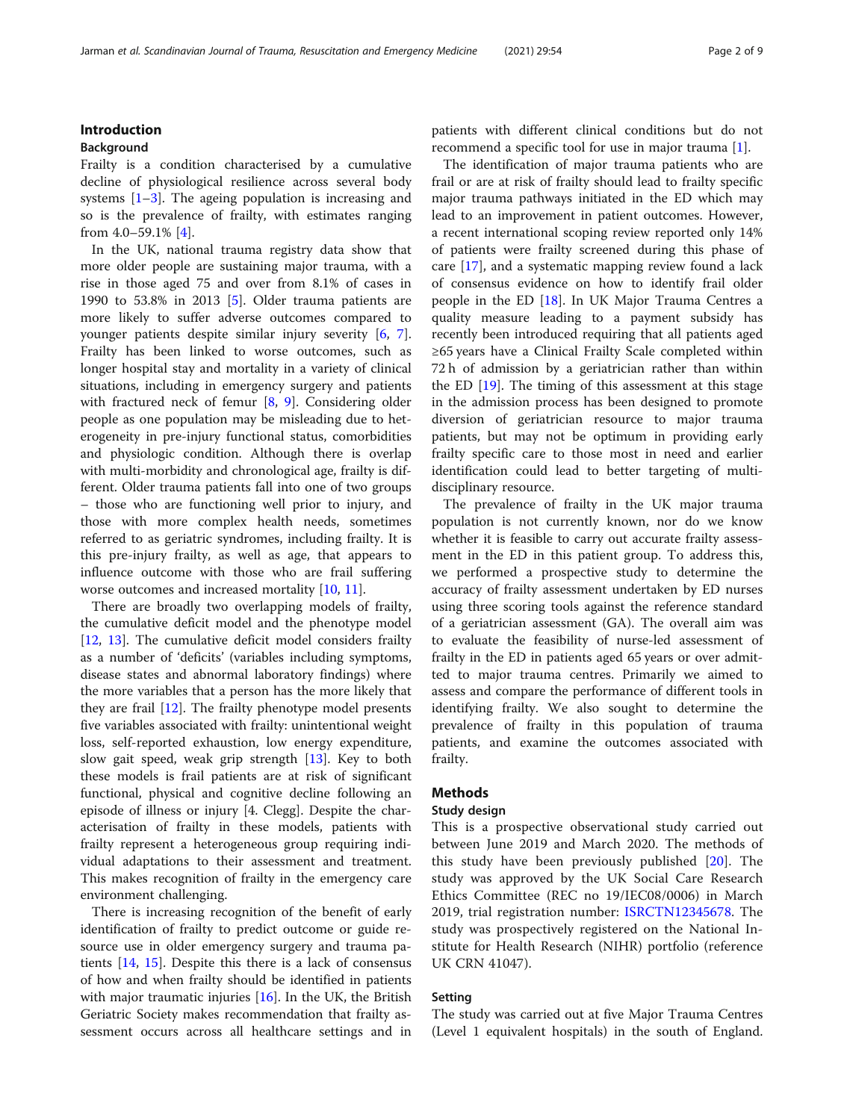# Introduction

# Background

Frailty is a condition characterised by a cumulative decline of physiological resilience across several body systems [\[1](#page-7-0)–[3](#page-7-0)]. The ageing population is increasing and so is the prevalence of frailty, with estimates ranging from 4.0–59.1% [\[4](#page-8-0)].

In the UK, national trauma registry data show that more older people are sustaining major trauma, with a rise in those aged 75 and over from 8.1% of cases in 1990 to 53.8% in 2013 [[5](#page-8-0)]. Older trauma patients are more likely to suffer adverse outcomes compared to younger patients despite similar injury severity [[6,](#page-8-0) [7](#page-8-0)]. Frailty has been linked to worse outcomes, such as longer hospital stay and mortality in a variety of clinical situations, including in emergency surgery and patients with fractured neck of femur [\[8](#page-8-0), [9\]](#page-8-0). Considering older people as one population may be misleading due to heterogeneity in pre-injury functional status, comorbidities and physiologic condition. Although there is overlap with multi-morbidity and chronological age, frailty is different. Older trauma patients fall into one of two groups – those who are functioning well prior to injury, and those with more complex health needs, sometimes referred to as geriatric syndromes, including frailty. It is this pre-injury frailty, as well as age, that appears to influence outcome with those who are frail suffering worse outcomes and increased mortality [\[10](#page-8-0), [11](#page-8-0)].

There are broadly two overlapping models of frailty, the cumulative deficit model and the phenotype model [[12,](#page-8-0) [13\]](#page-8-0). The cumulative deficit model considers frailty as a number of 'deficits' (variables including symptoms, disease states and abnormal laboratory findings) where the more variables that a person has the more likely that they are frail [\[12\]](#page-8-0). The frailty phenotype model presents five variables associated with frailty: unintentional weight loss, self-reported exhaustion, low energy expenditure, slow gait speed, weak grip strength [\[13](#page-8-0)]. Key to both these models is frail patients are at risk of significant functional, physical and cognitive decline following an episode of illness or injury [4. Clegg]. Despite the characterisation of frailty in these models, patients with frailty represent a heterogeneous group requiring individual adaptations to their assessment and treatment. This makes recognition of frailty in the emergency care environment challenging.

There is increasing recognition of the benefit of early identification of frailty to predict outcome or guide resource use in older emergency surgery and trauma patients [\[14,](#page-8-0) [15\]](#page-8-0). Despite this there is a lack of consensus of how and when frailty should be identified in patients with major traumatic injuries  $[16]$ . In the UK, the British Geriatric Society makes recommendation that frailty assessment occurs across all healthcare settings and in patients with different clinical conditions but do not recommend a specific tool for use in major trauma [[1\]](#page-7-0).

The identification of major trauma patients who are frail or are at risk of frailty should lead to frailty specific major trauma pathways initiated in the ED which may lead to an improvement in patient outcomes. However, a recent international scoping review reported only 14% of patients were frailty screened during this phase of care [\[17\]](#page-8-0), and a systematic mapping review found a lack of consensus evidence on how to identify frail older people in the ED [\[18\]](#page-8-0). In UK Major Trauma Centres a quality measure leading to a payment subsidy has recently been introduced requiring that all patients aged ≥65 years have a Clinical Frailty Scale completed within 72 h of admission by a geriatrician rather than within the ED [[19\]](#page-8-0). The timing of this assessment at this stage in the admission process has been designed to promote diversion of geriatrician resource to major trauma patients, but may not be optimum in providing early frailty specific care to those most in need and earlier identification could lead to better targeting of multidisciplinary resource.

The prevalence of frailty in the UK major trauma population is not currently known, nor do we know whether it is feasible to carry out accurate frailty assessment in the ED in this patient group. To address this, we performed a prospective study to determine the accuracy of frailty assessment undertaken by ED nurses using three scoring tools against the reference standard of a geriatrician assessment (GA). The overall aim was to evaluate the feasibility of nurse-led assessment of frailty in the ED in patients aged 65 years or over admitted to major trauma centres. Primarily we aimed to assess and compare the performance of different tools in identifying frailty. We also sought to determine the prevalence of frailty in this population of trauma patients, and examine the outcomes associated with frailty.

# Methods

#### Study design

This is a prospective observational study carried out between June 2019 and March 2020. The methods of this study have been previously published [[20\]](#page-8-0). The study was approved by the UK Social Care Research Ethics Committee (REC no 19/IEC08/0006) in March 2019, trial registration number: [ISRCTN12345678](https://www.isrctn.com/ISRCTN10671514?q=jarman&filters=&sort=&offset=1&totalResults=6&page=1&pageSize=10&searchType=basic-search). The study was prospectively registered on the National Institute for Health Research (NIHR) portfolio (reference UK CRN 41047).

#### Setting

The study was carried out at five Major Trauma Centres (Level 1 equivalent hospitals) in the south of England.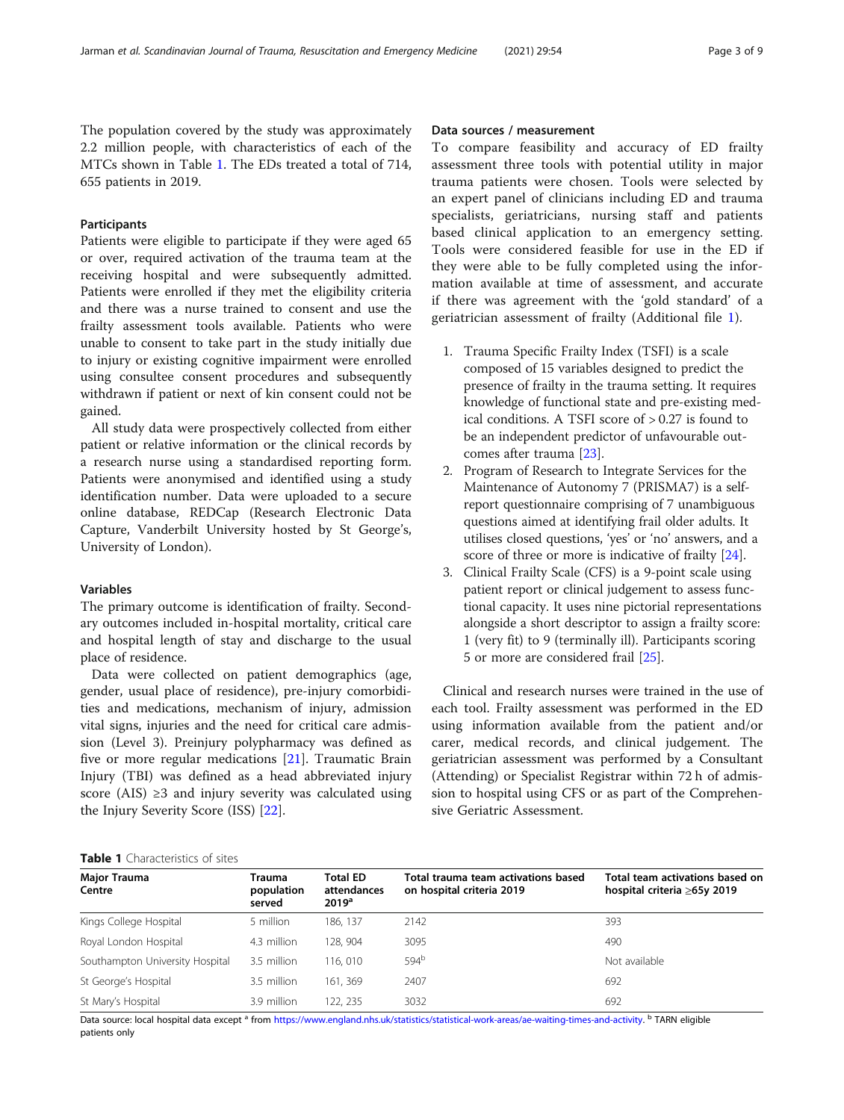The population covered by the study was approximately 2.2 million people, with characteristics of each of the MTCs shown in Table 1. The EDs treated a total of 714, 655 patients in 2019.

# Participants

Patients were eligible to participate if they were aged 65 or over, required activation of the trauma team at the receiving hospital and were subsequently admitted. Patients were enrolled if they met the eligibility criteria and there was a nurse trained to consent and use the frailty assessment tools available. Patients who were unable to consent to take part in the study initially due to injury or existing cognitive impairment were enrolled using consultee consent procedures and subsequently withdrawn if patient or next of kin consent could not be gained.

All study data were prospectively collected from either patient or relative information or the clinical records by a research nurse using a standardised reporting form. Patients were anonymised and identified using a study identification number. Data were uploaded to a secure online database, REDCap (Research Electronic Data Capture, Vanderbilt University hosted by St George's, University of London).

#### Variables

The primary outcome is identification of frailty. Secondary outcomes included in-hospital mortality, critical care and hospital length of stay and discharge to the usual place of residence.

Data were collected on patient demographics (age, gender, usual place of residence), pre-injury comorbidities and medications, mechanism of injury, admission vital signs, injuries and the need for critical care admission (Level 3). Preinjury polypharmacy was defined as five or more regular medications [[21\]](#page-8-0). Traumatic Brain Injury (TBI) was defined as a head abbreviated injury score (AIS) ≥3 and injury severity was calculated using the Injury Severity Score (ISS) [\[22](#page-8-0)].

#### Data sources / measurement

To compare feasibility and accuracy of ED frailty assessment three tools with potential utility in major trauma patients were chosen. Tools were selected by an expert panel of clinicians including ED and trauma specialists, geriatricians, nursing staff and patients based clinical application to an emergency setting. Tools were considered feasible for use in the ED if they were able to be fully completed using the information available at time of assessment, and accurate if there was agreement with the 'gold standard' of a geriatrician assessment of frailty (Additional file [1\)](#page-7-0).

- 1. Trauma Specific Frailty Index (TSFI) is a scale composed of 15 variables designed to predict the presence of frailty in the trauma setting. It requires knowledge of functional state and pre-existing medical conditions. A TSFI score of > 0.27 is found to be an independent predictor of unfavourable outcomes after trauma [[23](#page-8-0)].
- 2. Program of Research to Integrate Services for the Maintenance of Autonomy 7 (PRISMA7) is a selfreport questionnaire comprising of 7 unambiguous questions aimed at identifying frail older adults. It utilises closed questions, 'yes' or 'no' answers, and a score of three or more is indicative of frailty [[24](#page-8-0)].
- 3. Clinical Frailty Scale (CFS) is a 9-point scale using patient report or clinical judgement to assess functional capacity. It uses nine pictorial representations alongside a short descriptor to assign a frailty score: 1 (very fit) to 9 (terminally ill). Participants scoring 5 or more are considered frail [[25\]](#page-8-0).

Clinical and research nurses were trained in the use of each tool. Frailty assessment was performed in the ED using information available from the patient and/or carer, medical records, and clinical judgement. The geriatrician assessment was performed by a Consultant (Attending) or Specialist Registrar within 72 h of admission to hospital using CFS or as part of the Comprehensive Geriatric Assessment.

#### Table 1 Characteristics of sites

| Major Trauma<br>Centre          | Trauma<br>population<br>served | Total ED<br>attendances<br>2019 <sup>a</sup> | Total trauma team activations based<br>on hospital criteria 2019 | Total team activations based on<br>hospital criteria ≥65y 2019 |  |  |
|---------------------------------|--------------------------------|----------------------------------------------|------------------------------------------------------------------|----------------------------------------------------------------|--|--|
| Kings College Hospital          | 5 million                      | 186.137                                      | 2142                                                             | 393                                                            |  |  |
| Royal London Hospital           | 4.3 million                    | 128, 904                                     | 3095                                                             | 490                                                            |  |  |
| Southampton University Hospital | 3.5 million                    | 116, 010                                     | 594 <sup>b</sup>                                                 | Not available                                                  |  |  |
| St George's Hospital            | 3.5 million                    | 161.369                                      | 2407                                                             | 692                                                            |  |  |
| St Mary's Hospital              | 3.9 million                    | 122, 235                                     | 3032                                                             | 692                                                            |  |  |

Data source: local hospital data except <sup>a</sup> from [https://www.england.nhs.uk/statistics/statistical-work-areas/ae-waiting-times-and-activity.](https://www.england.nhs.uk/statistics/statistical-work-areas/ae-waiting-times-and-activity) <sup>b</sup> TARN eligible patients only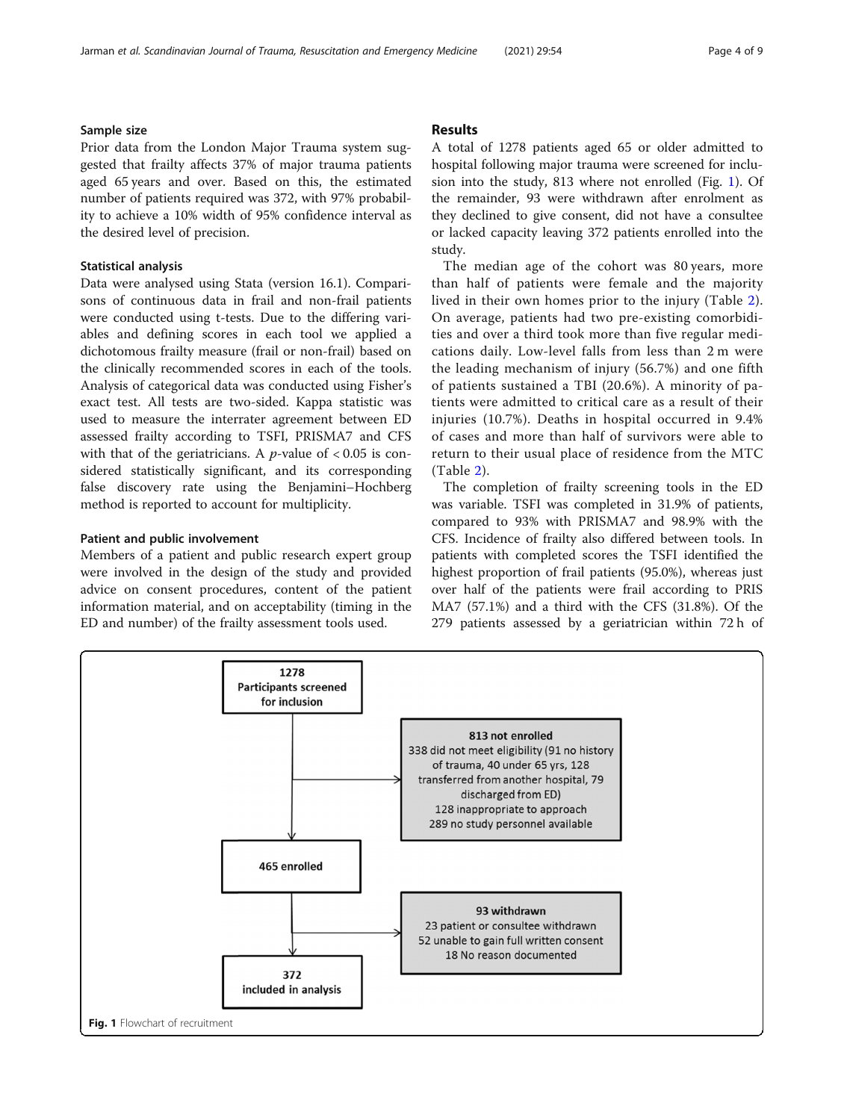# Sample size

Prior data from the London Major Trauma system suggested that frailty affects 37% of major trauma patients aged 65 years and over. Based on this, the estimated number of patients required was 372, with 97% probability to achieve a 10% width of 95% confidence interval as the desired level of precision.

# Statistical analysis

Data were analysed using Stata (version 16.1). Comparisons of continuous data in frail and non-frail patients were conducted using t-tests. Due to the differing variables and defining scores in each tool we applied a dichotomous frailty measure (frail or non-frail) based on the clinically recommended scores in each of the tools. Analysis of categorical data was conducted using Fisher's exact test. All tests are two-sided. Kappa statistic was used to measure the interrater agreement between ED assessed frailty according to TSFI, PRISMA7 and CFS with that of the geriatricians. A  $p$ -value of  $< 0.05$  is considered statistically significant, and its corresponding false discovery rate using the Benjamini–Hochberg method is reported to account for multiplicity.

# Patient and public involvement

Members of a patient and public research expert group were involved in the design of the study and provided advice on consent procedures, content of the patient information material, and on acceptability (timing in the ED and number) of the frailty assessment tools used.

# Results

A total of 1278 patients aged 65 or older admitted to hospital following major trauma were screened for inclusion into the study, 813 where not enrolled (Fig. 1). Of the remainder, 93 were withdrawn after enrolment as they declined to give consent, did not have a consultee or lacked capacity leaving 372 patients enrolled into the study.

The median age of the cohort was 80 years, more than half of patients were female and the majority lived in their own homes prior to the injury (Table [2](#page-4-0)). On average, patients had two pre-existing comorbidities and over a third took more than five regular medications daily. Low-level falls from less than 2 m were the leading mechanism of injury (56.7%) and one fifth of patients sustained a TBI (20.6%). A minority of patients were admitted to critical care as a result of their injuries (10.7%). Deaths in hospital occurred in 9.4% of cases and more than half of survivors were able to return to their usual place of residence from the MTC (Table [2](#page-4-0)).

The completion of frailty screening tools in the ED was variable. TSFI was completed in 31.9% of patients, compared to 93% with PRISMA7 and 98.9% with the CFS. Incidence of frailty also differed between tools. In patients with completed scores the TSFI identified the highest proportion of frail patients (95.0%), whereas just over half of the patients were frail according to PRIS MA7 (57.1%) and a third with the CFS (31.8%). Of the 279 patients assessed by a geriatrician within 72 h of

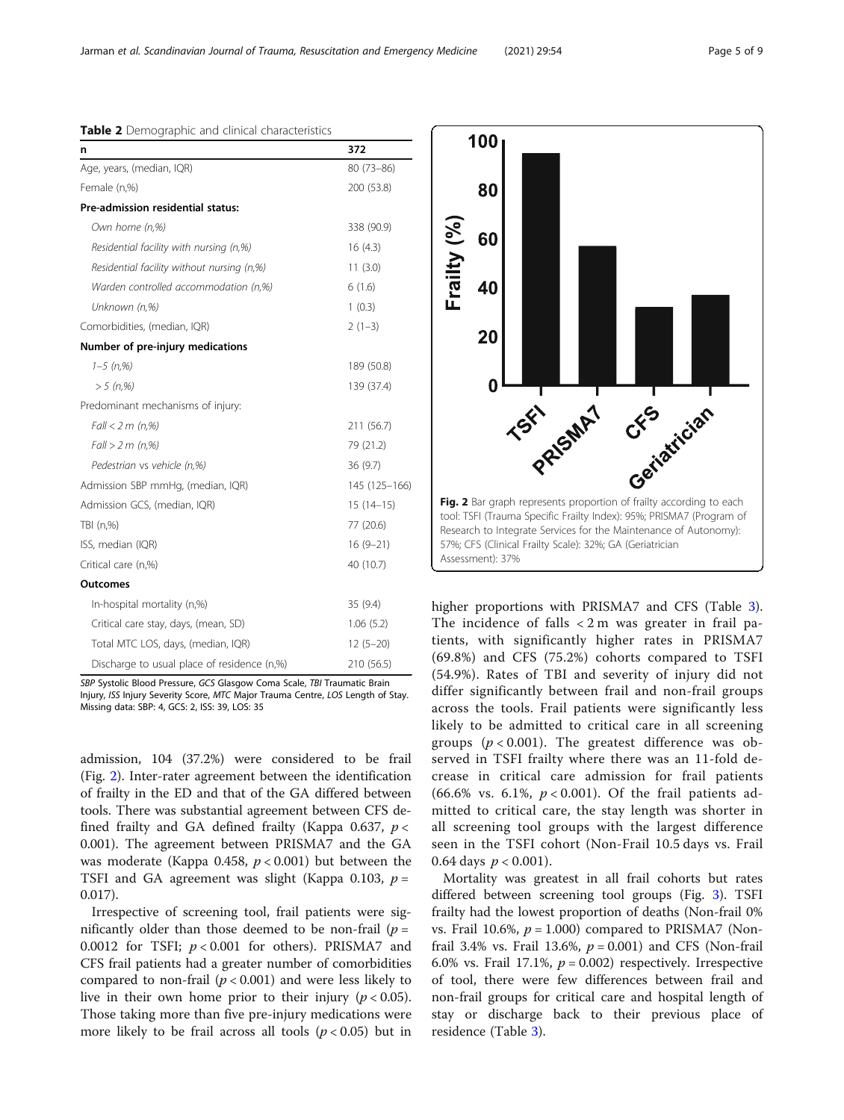#### <span id="page-4-0"></span>Table 2 Demographic and clinical characteristics

| n                                                 | 372           |  |  |  |
|---------------------------------------------------|---------------|--|--|--|
| Age, years, (median, IQR)                         | $80(73 - 86)$ |  |  |  |
| Female (n,%)                                      | 200 (53.8)    |  |  |  |
| Pre-admission residential status:                 |               |  |  |  |
| Own home (n,%)                                    | 338 (90.9)    |  |  |  |
| Residential facility with nursing (n,%)           | 16(4.3)       |  |  |  |
| Residential facility without nursing (n,%)        | 11(3.0)       |  |  |  |
| Warden controlled accommodation (n,%)             | 6(1.6)        |  |  |  |
| Unknown (n,%)                                     | 1(0.3)        |  |  |  |
| Comorbidities, (median, IQR)                      | $2(1-3)$      |  |  |  |
| Number of pre-injury medications                  |               |  |  |  |
| $1 - 5$ (n,%)                                     | 189 (50.8)    |  |  |  |
| $> 5$ (n,%)                                       | 139 (37.4)    |  |  |  |
| Predominant mechanisms of injury:                 |               |  |  |  |
| Fall < 2 m (n,%)                                  | 211 (56.7)    |  |  |  |
| Fall > 2 m (n,%)                                  | 79 (21.2)     |  |  |  |
| Pedestrian vs vehicle (n,%)                       | 36(9.7)       |  |  |  |
| Admission SBP mmHg, (median, IQR)                 | 145 (125-166) |  |  |  |
| Admission GCS, (median, IQR)                      | $15(14-15)$   |  |  |  |
| TBI (n,%)                                         | 77 (20.6)     |  |  |  |
| ISS, median (IQR)<br>$16(9-21)$                   |               |  |  |  |
| Critical care (n,%)                               | 40 (10.7)     |  |  |  |
| Outcomes                                          |               |  |  |  |
| In-hospital mortality (n,%)                       | 35(9.4)       |  |  |  |
| Critical care stay, days, (mean, SD)<br>1.06(5.2) |               |  |  |  |
| Total MTC LOS, days, (median, IQR)<br>$12(5-20)$  |               |  |  |  |
| Discharge to usual place of residence (n,%)       | 210 (56.5)    |  |  |  |

SBP Systolic Blood Pressure, GCS Glasgow Coma Scale, TBI Traumatic Brain Injury, ISS Injury Severity Score, MTC Major Trauma Centre, LOS Length of Stay. Missing data: SBP: 4, GCS: 2, ISS: 39, LOS: 35

admission, 104 (37.2%) were considered to be frail (Fig. 2). Inter-rater agreement between the identification of frailty in the ED and that of the GA differed between tools. There was substantial agreement between CFS defined frailty and GA defined frailty (Kappa 0.637,  $p <$ 0.001). The agreement between PRISMA7 and the GA was moderate (Kappa 0.458,  $p < 0.001$ ) but between the TSFI and GA agreement was slight (Kappa 0.103,  $p =$ 0.017).

Irrespective of screening tool, frail patients were significantly older than those deemed to be non-frail ( $p =$ 0.0012 for TSFI;  $p < 0.001$  for others). PRISMA7 and CFS frail patients had a greater number of comorbidities compared to non-frail ( $p < 0.001$ ) and were less likely to live in their own home prior to their injury ( $p < 0.05$ ). Those taking more than five pre-injury medications were more likely to be frail across all tools ( $p < 0.05$ ) but in

80 Frailty (%) 60 40 20 Fig. 2 Bar graph represents proportion of frailty according to each  $\mathbf{0}$ TSET SMAT tool: TSFI (Trauma Specific Frailty Index): 95%; PRISMA7 (Program of Research to Integrate Services for the Maintenance of Autonomy): 57%; CFS (Clinical Frailty Scale): 32%; GA (Geriatrician Assessment): 37%

100

higher proportions with PRISMA7 and CFS (Table [3](#page-5-0)). The incidence of falls  $\langle 2 \rangle$ m was greater in frail patients, with significantly higher rates in PRISMA7 (69.8%) and CFS (75.2%) cohorts compared to TSFI (54.9%). Rates of TBI and severity of injury did not differ significantly between frail and non-frail groups across the tools. Frail patients were significantly less likely to be admitted to critical care in all screening groups ( $p < 0.001$ ). The greatest difference was observed in TSFI frailty where there was an 11-fold decrease in critical care admission for frail patients (66.6% vs. 6.1%,  $p < 0.001$ ). Of the frail patients admitted to critical care, the stay length was shorter in all screening tool groups with the largest difference seen in the TSFI cohort (Non-Frail 10.5 days vs. Frail 0.64 days  $p < 0.001$ ).

Mortality was greatest in all frail cohorts but rates differed between screening tool groups (Fig. [3\)](#page-5-0). TSFI frailty had the lowest proportion of deaths (Non-frail 0% vs. Frail 10.6%,  $p = 1.000$  compared to PRISMA7 (Nonfrail 3.4% vs. Frail 13.6%,  $p = 0.001$ ) and CFS (Non-frail 6.0% vs. Frail 17.1%,  $p = 0.002$ ) respectively. Irrespective of tool, there were few differences between frail and non-frail groups for critical care and hospital length of stay or discharge back to their previous place of residence (Table [3\)](#page-5-0).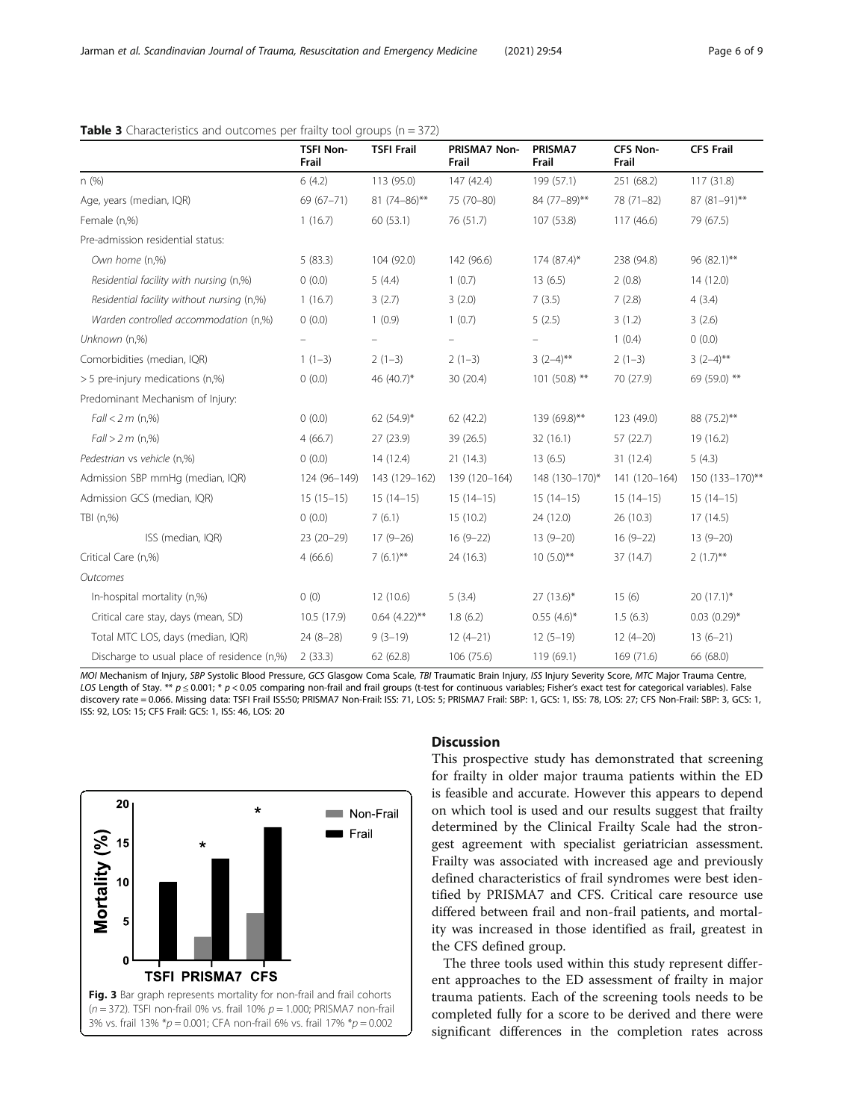|                                             | <b>TSFI Non-</b><br>Frail | <b>TSFI Frail</b>  | <b>PRISMA7 Non-</b><br>Frail | PRISMA7<br>Frail | <b>CFS Non-</b><br>Frail | <b>CFS Frail</b>             |
|---------------------------------------------|---------------------------|--------------------|------------------------------|------------------|--------------------------|------------------------------|
| n(%)                                        | 6(4.2)                    | 113 (95.0)         | 147 (42.4)                   | 199 (57.1)       | 251 (68.2)               | 117 (31.8)                   |
| Age, years (median, IQR)                    | 69 (67-71)                | $81(74-86)$ **     | 75 (70-80)                   | 84 (77-89)**     | 78 (71-82)               | 87 (81-91)**                 |
| Female (n,%)                                | 1(16.7)                   | 60 (53.1)          | 76 (51.7)                    | 107 (53.8)       | 117(46.6)                | 79 (67.5)                    |
| Pre-admission residential status:           |                           |                    |                              |                  |                          |                              |
| Own home (n,%)                              | 5(83.3)                   | 104 (92.0)         | 142 (96.6)                   | 174 (87.4)*      | 238 (94.8)               | 96 (82.1)**                  |
| Residential facility with nursing (n,%)     | 0(0.0)                    | 5(4.4)             | 1(0.7)                       | 13(6.5)          | 2(0.8)                   | 14(12.0)                     |
| Residential facility without nursing (n,%)  | 1(16.7)                   | 3(2.7)             | 3(2.0)                       | 7(3.5)           | 7(2.8)                   | 4(3.4)                       |
| Warden controlled accommodation (n,%)       | 0(0.0)                    | 1(0.9)             | 1(0.7)                       | 5(2.5)           | 3(1.2)                   | 3(2.6)                       |
| Unknown (n,%)                               |                           |                    |                              |                  | 1(0.4)                   | 0(0.0)                       |
| Comorbidities (median, IQR)                 | $1(1-3)$                  | $2(1-3)$           | $2(1-3)$                     | $3(2-4)$ **      | $2(1-3)$                 | $3(2-4)$ **                  |
| > 5 pre-injury medications (n,%)            | 0(0.0)                    | 46 (40.7)*         | 30 (20.4)                    | $101(50.8)$ **   | 70 (27.9)                | 69 (59.0) **                 |
| Predominant Mechanism of Injury:            |                           |                    |                              |                  |                          |                              |
| $Fall < 2 m$ (n,%)                          | 0(0.0)                    | 62 $(54.9)^*$      | 62(42.2)                     | 139 (69.8)**     | 123 (49.0)               | 88 (75.2)**                  |
| Fall > 2 m (n,%)                            | 4(66.7)                   | 27 (23.9)          | 39 (26.5)                    | 32(16.1)         | 57 (22.7)                | 19 (16.2)                    |
| Pedestrian vs vehicle (n,%)                 | 0(0.0)                    | 14(12.4)           | 21(14.3)                     | 13(6.5)          | 31 (12.4)                | 5(4.3)                       |
| Admission SBP mmHg (median, IQR)            | 124 (96-149)              | 143 (129-162)      | 139 (120-164)                | 148 (130-170)*   | 141 (120-164)            | 150 (133-170)**              |
| Admission GCS (median, IQR)                 | $15(15-15)$               | $15(14-15)$        | $15(14-15)$                  | $15(14-15)$      | $15(14-15)$              | $15(14-15)$                  |
| TBI (n,%)                                   | 0(0.0)                    | 7(6.1)             | 15(10.2)                     | 24 (12.0)        | 26 (10.3)                | 17(14.5)                     |
| ISS (median, IQR)                           | $23(20-29)$               | $17(9-26)$         | $16(9-22)$                   | $13(9-20)$       | $16(9-22)$               | $13(9-20)$                   |
| Critical Care (n,%)                         | 4(66.6)                   | $7(6.1)$ **        | 24 (16.3)                    | $10(5.0)$ **     | 37 (14.7)                | $2(1.7)$ **                  |
| Outcomes                                    |                           |                    |                              |                  |                          |                              |
| In-hospital mortality (n,%)                 | 0(0)                      | 12 (10.6)          | 5(3.4)                       | $27(13.6)$ *     | 15(6)                    | $20(17.1)^*$                 |
| Critical care stay, days (mean, SD)         | 10.5 (17.9)               | $0.64$ $(4.22)$ ** | 1.8(6.2)                     | $0.55(4.6)^{*}$  | 1.5(6.3)                 | $0.03$ $(0.29)$ <sup>*</sup> |
| Total MTC LOS, days (median, IQR)           | $24(8-28)$                | $9(3-19)$          | $12(4-21)$                   | $12(5-19)$       | $12(4-20)$               | $13(6-21)$                   |
| Discharge to usual place of residence (n,%) | 2(33.3)                   | 62 (62.8)          | 106 (75.6)                   | 119 (69.1)       | 169 (71.6)               | 66 (68.0)                    |

# <span id="page-5-0"></span>**Table 3** Characteristics and outcomes per frailty tool groups ( $n = 372$ )

MOI Mechanism of Injury, SBP Systolic Blood Pressure, GCS Glasgow Coma Scale, TBI Traumatic Brain Injury, ISS Injury Severity Score, MTC Major Trauma Centre, LOS Length of Stay. \*\*  $p \le 0.001$ ; \*  $p < 0.05$  comparing non-frail and frail groups (t-test for continuous variables; Fisher's exact test for categorical variables). False discovery rate = 0.066. Missing data: TSFI Frail ISS:50; PRISMA7 Non-Frail: ISS: 71, LOS: 5; PRISMA7 Frail: SBP: 1, GCS: 1, ISS: 78, LOS: 27; CFS Non-Frail: SBP: 3, GCS: 1, ISS: 92, LOS: 15; CFS Frail: GCS: 1, ISS: 46, LOS: 20



### **Discussion**

This prospective study has demonstrated that screening for frailty in older major trauma patients within the ED is feasible and accurate. However this appears to depend on which tool is used and our results suggest that frailty determined by the Clinical Frailty Scale had the strongest agreement with specialist geriatrician assessment. Frailty was associated with increased age and previously defined characteristics of frail syndromes were best identified by PRISMA7 and CFS. Critical care resource use differed between frail and non-frail patients, and mortality was increased in those identified as frail, greatest in the CFS defined group.

The three tools used within this study represent different approaches to the ED assessment of frailty in major trauma patients. Each of the screening tools needs to be completed fully for a score to be derived and there were significant differences in the completion rates across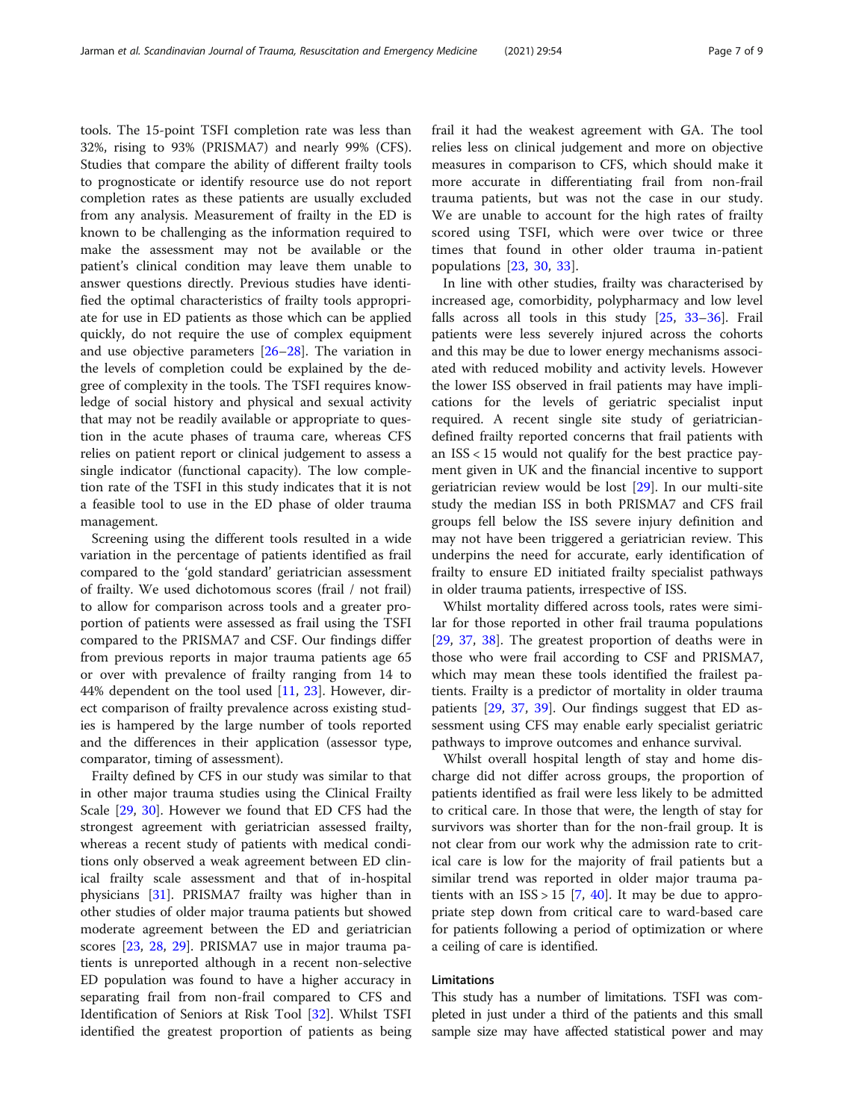tools. The 15-point TSFI completion rate was less than 32%, rising to 93% (PRISMA7) and nearly 99% (CFS). Studies that compare the ability of different frailty tools to prognosticate or identify resource use do not report completion rates as these patients are usually excluded from any analysis. Measurement of frailty in the ED is known to be challenging as the information required to make the assessment may not be available or the patient's clinical condition may leave them unable to answer questions directly. Previous studies have identified the optimal characteristics of frailty tools appropriate for use in ED patients as those which can be applied quickly, do not require the use of complex equipment and use objective parameters [[26](#page-8-0)–[28](#page-8-0)]. The variation in the levels of completion could be explained by the degree of complexity in the tools. The TSFI requires knowledge of social history and physical and sexual activity that may not be readily available or appropriate to question in the acute phases of trauma care, whereas CFS relies on patient report or clinical judgement to assess a single indicator (functional capacity). The low completion rate of the TSFI in this study indicates that it is not a feasible tool to use in the ED phase of older trauma management.

Screening using the different tools resulted in a wide variation in the percentage of patients identified as frail compared to the 'gold standard' geriatrician assessment of frailty. We used dichotomous scores (frail / not frail) to allow for comparison across tools and a greater proportion of patients were assessed as frail using the TSFI compared to the PRISMA7 and CSF. Our findings differ from previous reports in major trauma patients age 65 or over with prevalence of frailty ranging from 14 to 44% dependent on the tool used [[11,](#page-8-0) [23](#page-8-0)]. However, direct comparison of frailty prevalence across existing studies is hampered by the large number of tools reported and the differences in their application (assessor type, comparator, timing of assessment).

Frailty defined by CFS in our study was similar to that in other major trauma studies using the Clinical Frailty Scale [\[29](#page-8-0), [30\]](#page-8-0). However we found that ED CFS had the strongest agreement with geriatrician assessed frailty, whereas a recent study of patients with medical conditions only observed a weak agreement between ED clinical frailty scale assessment and that of in-hospital physicians [[31\]](#page-8-0). PRISMA7 frailty was higher than in other studies of older major trauma patients but showed moderate agreement between the ED and geriatrician scores [\[23](#page-8-0), [28](#page-8-0), [29](#page-8-0)]. PRISMA7 use in major trauma patients is unreported although in a recent non-selective ED population was found to have a higher accuracy in separating frail from non-frail compared to CFS and Identification of Seniors at Risk Tool [\[32](#page-8-0)]. Whilst TSFI identified the greatest proportion of patients as being frail it had the weakest agreement with GA. The tool relies less on clinical judgement and more on objective measures in comparison to CFS, which should make it more accurate in differentiating frail from non-frail trauma patients, but was not the case in our study. We are unable to account for the high rates of frailty scored using TSFI, which were over twice or three times that found in other older trauma in-patient populations [[23,](#page-8-0) [30,](#page-8-0) [33](#page-8-0)].

In line with other studies, frailty was characterised by increased age, comorbidity, polypharmacy and low level falls across all tools in this study [\[25](#page-8-0), [33](#page-8-0)–[36\]](#page-8-0). Frail patients were less severely injured across the cohorts and this may be due to lower energy mechanisms associated with reduced mobility and activity levels. However the lower ISS observed in frail patients may have implications for the levels of geriatric specialist input required. A recent single site study of geriatriciandefined frailty reported concerns that frail patients with an ISS < 15 would not qualify for the best practice payment given in UK and the financial incentive to support geriatrician review would be lost [\[29](#page-8-0)]. In our multi-site study the median ISS in both PRISMA7 and CFS frail groups fell below the ISS severe injury definition and may not have been triggered a geriatrician review. This underpins the need for accurate, early identification of frailty to ensure ED initiated frailty specialist pathways in older trauma patients, irrespective of ISS.

Whilst mortality differed across tools, rates were similar for those reported in other frail trauma populations [[29,](#page-8-0) [37,](#page-8-0) [38](#page-8-0)]. The greatest proportion of deaths were in those who were frail according to CSF and PRISMA7, which may mean these tools identified the frailest patients. Frailty is a predictor of mortality in older trauma patients [\[29](#page-8-0), [37,](#page-8-0) [39](#page-8-0)]. Our findings suggest that ED assessment using CFS may enable early specialist geriatric pathways to improve outcomes and enhance survival.

Whilst overall hospital length of stay and home discharge did not differ across groups, the proportion of patients identified as frail were less likely to be admitted to critical care. In those that were, the length of stay for survivors was shorter than for the non-frail group. It is not clear from our work why the admission rate to critical care is low for the majority of frail patients but a similar trend was reported in older major trauma patients with an  $ISS > 15$  [[7,](#page-8-0) [40\]](#page-8-0). It may be due to appropriate step down from critical care to ward-based care for patients following a period of optimization or where a ceiling of care is identified.

# Limitations

This study has a number of limitations. TSFI was completed in just under a third of the patients and this small sample size may have affected statistical power and may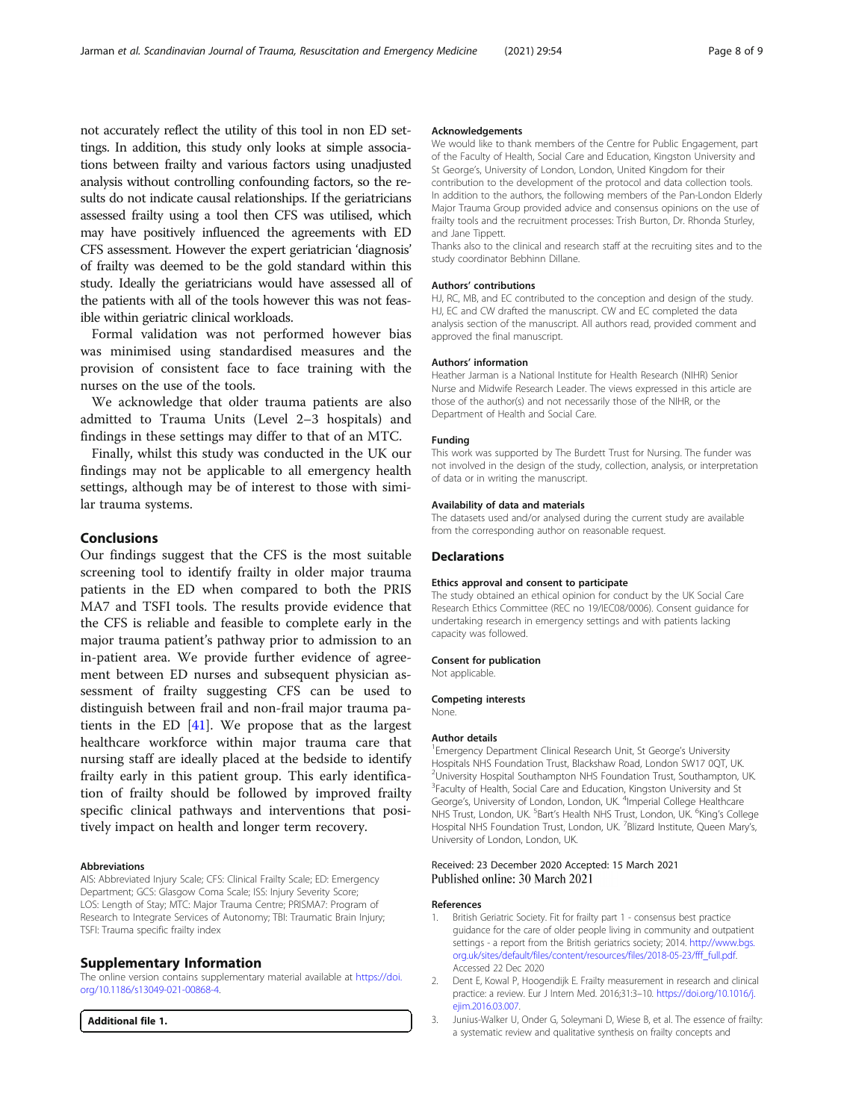<span id="page-7-0"></span>not accurately reflect the utility of this tool in non ED settings. In addition, this study only looks at simple associations between frailty and various factors using unadjusted analysis without controlling confounding factors, so the results do not indicate causal relationships. If the geriatricians assessed frailty using a tool then CFS was utilised, which may have positively influenced the agreements with ED CFS assessment. However the expert geriatrician 'diagnosis' of frailty was deemed to be the gold standard within this study. Ideally the geriatricians would have assessed all of the patients with all of the tools however this was not feasible within geriatric clinical workloads.

Formal validation was not performed however bias was minimised using standardised measures and the provision of consistent face to face training with the nurses on the use of the tools.

We acknowledge that older trauma patients are also admitted to Trauma Units (Level 2–3 hospitals) and findings in these settings may differ to that of an MTC.

Finally, whilst this study was conducted in the UK our findings may not be applicable to all emergency health settings, although may be of interest to those with similar trauma systems.

# Conclusions

Our findings suggest that the CFS is the most suitable screening tool to identify frailty in older major trauma patients in the ED when compared to both the PRIS MA7 and TSFI tools. The results provide evidence that the CFS is reliable and feasible to complete early in the major trauma patient's pathway prior to admission to an in-patient area. We provide further evidence of agreement between ED nurses and subsequent physician assessment of frailty suggesting CFS can be used to distinguish between frail and non-frail major trauma patients in the ED [\[41](#page-8-0)]. We propose that as the largest healthcare workforce within major trauma care that nursing staff are ideally placed at the bedside to identify frailty early in this patient group. This early identification of frailty should be followed by improved frailty specific clinical pathways and interventions that positively impact on health and longer term recovery.

#### Abbreviations

AIS: Abbreviated Injury Scale; CFS: Clinical Frailty Scale; ED: Emergency Department; GCS: Glasgow Coma Scale; ISS: Injury Severity Score; LOS: Length of Stay; MTC: Major Trauma Centre; PRISMA7: Program of Research to Integrate Services of Autonomy; TBI: Traumatic Brain Injury; TSFI: Trauma specific frailty index

#### Supplementary Information

The online version contains supplementary material available at [https://doi.](https://doi.org/10.1186/s13049-021-00868-4) [org/10.1186/s13049-021-00868-4.](https://doi.org/10.1186/s13049-021-00868-4)

Additional file 1.

#### Acknowledgements

We would like to thank members of the Centre for Public Engagement, part of the Faculty of Health, Social Care and Education, Kingston University and St George's, University of London, London, United Kingdom for their contribution to the development of the protocol and data collection tools. In addition to the authors, the following members of the Pan-London Elderly Major Trauma Group provided advice and consensus opinions on the use of frailty tools and the recruitment processes: Trish Burton, Dr. Rhonda Sturley, and Jane Tippett.

Thanks also to the clinical and research staff at the recruiting sites and to the study coordinator Bebhinn Dillane.

#### Authors' contributions

HJ, RC, MB, and EC contributed to the conception and design of the study. HJ, EC and CW drafted the manuscript. CW and EC completed the data analysis section of the manuscript. All authors read, provided comment and approved the final manuscript.

#### Authors' information

Heather Jarman is a National Institute for Health Research (NIHR) Senior Nurse and Midwife Research Leader. The views expressed in this article are those of the author(s) and not necessarily those of the NIHR, or the Department of Health and Social Care.

#### Funding

This work was supported by The Burdett Trust for Nursing. The funder was not involved in the design of the study, collection, analysis, or interpretation of data or in writing the manuscript.

#### Availability of data and materials

The datasets used and/or analysed during the current study are available from the corresponding author on reasonable request.

#### Declarations

#### Ethics approval and consent to participate

The study obtained an ethical opinion for conduct by the UK Social Care Research Ethics Committee (REC no 19/IEC08/0006). Consent guidance for undertaking research in emergency settings and with patients lacking capacity was followed.

#### Consent for publication

Not applicable.

Competing interests

None.

#### Author details

<sup>1</sup> Emergency Department Clinical Research Unit, St George's University Hospitals NHS Foundation Trust, Blackshaw Road, London SW17 0QT, UK. <sup>2</sup>University Hospital Southampton NHS Foundation Trust, Southampton, UK <sup>3</sup> Faculty of Health, Social Care and Education, Kingston University and St George's, University of London, London, UK. <sup>4</sup>Imperial College Healthcare NHS Trust, London, UK. <sup>5</sup>Bart's Health NHS Trust, London, UK. <sup>6</sup>King's College Hospital NHS Foundation Trust, London, UK. <sup>7</sup>Blizard Institute, Queen Mary's University of London, London, UK.

#### Received: 23 December 2020 Accepted: 15 March 2021 Published online: 30 March 2021

#### References

- British Geriatric Society. Fit for frailty part 1 consensus best practice guidance for the care of older people living in community and outpatient settings - a report from the British geriatrics society; 2014. [http://www.bgs.](http://www.bgs.org.uk/campaigns/fff/fff_full.pdf) [org.uk/sites/default/files/content/resources/files/2018-05-23/fff\\_full.pdf](http://www.bgs.org.uk/campaigns/fff/fff_full.pdf). Accessed 22 Dec 2020
- 2. Dent E, Kowal P, Hoogendijk E. Frailty measurement in research and clinical practice: a review. Eur J Intern Med. 2016;31:3–10. [https://doi.org/10.1016/j.](https://doi.org/10.1016/j.ejim.2016.03.007) [ejim.2016.03.007](https://doi.org/10.1016/j.ejim.2016.03.007).
- 3. Junius-Walker U, Onder G, Soleymani D, Wiese B, et al. The essence of frailty: a systematic review and qualitative synthesis on frailty concepts and